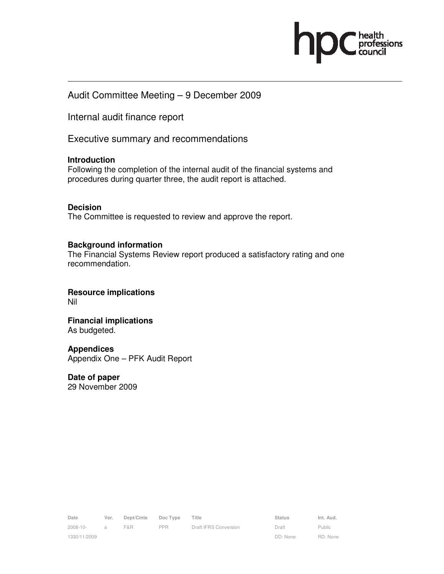

## Audit Committee Meeting – 9 December 2009

Internal audit finance report

Executive summary and recommendations

#### **Introduction**

Following the completion of the internal audit of the financial systems and procedures during quarter three, the audit report is attached.

#### **Decision**

The Committee is requested to review and approve the report.

#### **Background information**

The Financial Systems Review report produced a satisfactory rating and one recommendation.

**Resource implications**  Nil

**Financial implications**  As budgeted.

#### **Appendices**

Appendix One – PFK Audit Report

**Date of paper**  29 November 2009

Date Ver. Dept/Cmte Doc Type Title **Status** Status Int. Aud. 2008-10- 1330/11/2009 a F&R PPR Draft IFRS Conversion Draft

DD: None Public RD: None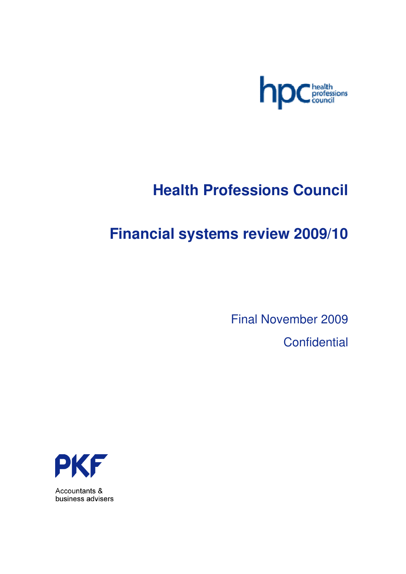

# **Health Professions Council**

# **Financial systems review 2009/10**

Final November 2009

**Confidential** 



Accountants & business advisers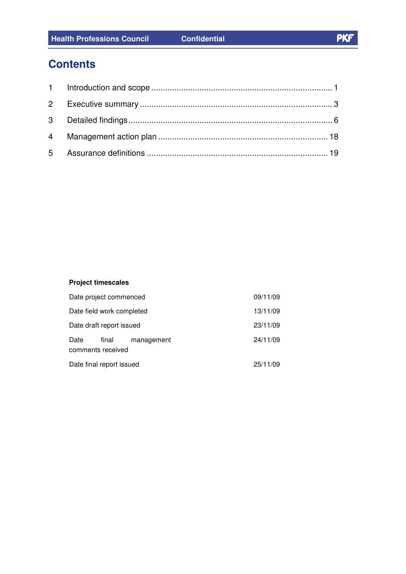# **Contents**

## **Project timescales**

| Date project commenced    |                            |            | 09/11/09 |
|---------------------------|----------------------------|------------|----------|
| Date field work completed |                            |            | 13/11/09 |
| Date draft report issued  |                            |            | 23/11/09 |
| Date                      | final<br>comments received | management | 24/11/09 |
| Date final report issued  |                            | 25/11/09   |          |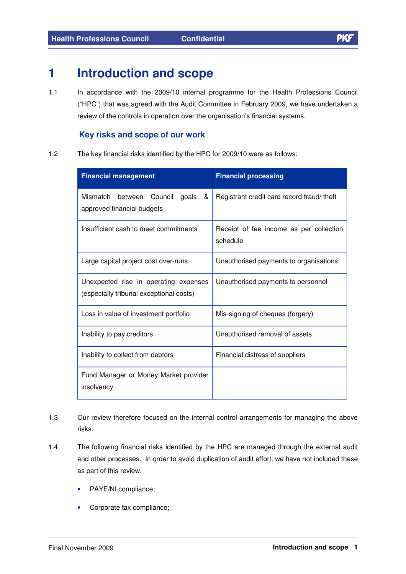# **1 Introduction and scope**

1.1 In accordance with the 2009/10 internal programme for the Health Professions Council ("HPC") that was agreed with the Audit Committee in February 2009, we have undertaken a review of the controls in operation over the organisation's financial systems.

### **Key risks and scope of our work**

1.2 The key financial risks identified by the HPC for 2009/10 were as follows:

| <b>Financial management</b>                                                      | <b>Financial processing</b>                         |  |  |
|----------------------------------------------------------------------------------|-----------------------------------------------------|--|--|
| Mismatch between Council<br>goals<br>&<br>approved financial budgets             | Registrant credit card record fraud/theft           |  |  |
| Insufficient cash to meet commitments                                            | Receipt of fee income as per collection<br>schedule |  |  |
| Large capital project cost over-runs                                             | Unauthorised payments to organisations              |  |  |
| Unexpected rise in operating expenses<br>(especially tribunal exceptional costs) | Unauthorised payments to personnel                  |  |  |
| Loss in value of investment portfolio                                            | Mis-signing of cheques (forgery)                    |  |  |
| Inability to pay creditors                                                       | Unauthorised removal of assets                      |  |  |
| Inability to collect from debtors                                                | Financial distress of suppliers                     |  |  |
| Fund Manager or Money Market provider<br>insolvency                              |                                                     |  |  |

- 1.3 Our review therefore focused on the internal control arrangements for managing the above risks.
- 1.4 The following financial risks identified by the HPC are managed through the external audit and other processes. In order to avoid duplication of audit effort, we have not included these as part of this review.
	- PAYE/NI compliance;
	- Corporate tax compliance;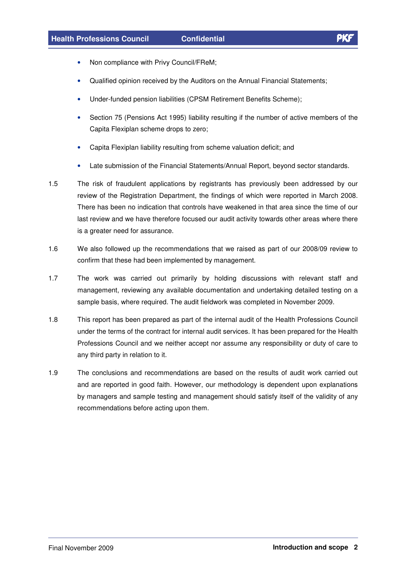- Non compliance with Privy Council/FReM;
- Qualified opinion received by the Auditors on the Annual Financial Statements;
- Under-funded pension liabilities (CPSM Retirement Benefits Scheme);
- Section 75 (Pensions Act 1995) liability resulting if the number of active members of the Capita Flexiplan scheme drops to zero;
- Capita Flexiplan liability resulting from scheme valuation deficit; and
- Late submission of the Financial Statements/Annual Report, beyond sector standards.
- 1.5 The risk of fraudulent applications by registrants has previously been addressed by our review of the Registration Department, the findings of which were reported in March 2008. There has been no indication that controls have weakened in that area since the time of our last review and we have therefore focused our audit activity towards other areas where there is a greater need for assurance.
- 1.6 We also followed up the recommendations that we raised as part of our 2008/09 review to confirm that these had been implemented by management.
- 1.7 The work was carried out primarily by holding discussions with relevant staff and management, reviewing any available documentation and undertaking detailed testing on a sample basis, where required. The audit fieldwork was completed in November 2009.
- 1.8 This report has been prepared as part of the internal audit of the Health Professions Council under the terms of the contract for internal audit services. It has been prepared for the Health Professions Council and we neither accept nor assume any responsibility or duty of care to any third party in relation to it.
- 1.9 The conclusions and recommendations are based on the results of audit work carried out and are reported in good faith. However, our methodology is dependent upon explanations by managers and sample testing and management should satisfy itself of the validity of any recommendations before acting upon them.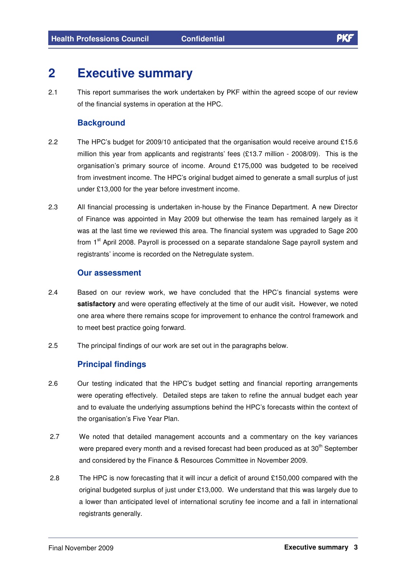# **2 Executive summary**

2.1 This report summarises the work undertaken by PKF within the agreed scope of our review of the financial systems in operation at the HPC.

### **Background**

- 2.2 The HPC's budget for 2009/10 anticipated that the organisation would receive around £15.6 million this year from applicants and registrants' fees (£13.7 million - 2008/09). This is the organisation's primary source of income. Around £175,000 was budgeted to be received from investment income. The HPC's original budget aimed to generate a small surplus of just under £13,000 for the year before investment income.
- 2.3 All financial processing is undertaken in-house by the Finance Department. A new Director of Finance was appointed in May 2009 but otherwise the team has remained largely as it was at the last time we reviewed this area. The financial system was upgraded to Sage 200 from 1<sup>st</sup> April 2008. Payroll is processed on a separate standalone Sage payroll system and registrants' income is recorded on the Netregulate system.

### **Our assessment**

- 2.4 Based on our review work, we have concluded that the HPC's financial systems were **satisfactory** and were operating effectively at the time of our audit visit**.** However, we noted one area where there remains scope for improvement to enhance the control framework and to meet best practice going forward.
- 2.5 The principal findings of our work are set out in the paragraphs below.

## **Principal findings**

- 2.6 Our testing indicated that the HPC's budget setting and financial reporting arrangements were operating effectively. Detailed steps are taken to refine the annual budget each year and to evaluate the underlying assumptions behind the HPC's forecasts within the context of the organisation's Five Year Plan.
- 2.7 We noted that detailed management accounts and a commentary on the key variances were prepared every month and a revised forecast had been produced as at 30 $^{\rm th}$  September and considered by the Finance & Resources Committee in November 2009.
- 2.8 The HPC is now forecasting that it will incur a deficit of around £150,000 compared with the original budgeted surplus of just under £13,000. We understand that this was largely due to a lower than anticipated level of international scrutiny fee income and a fall in international registrants generally.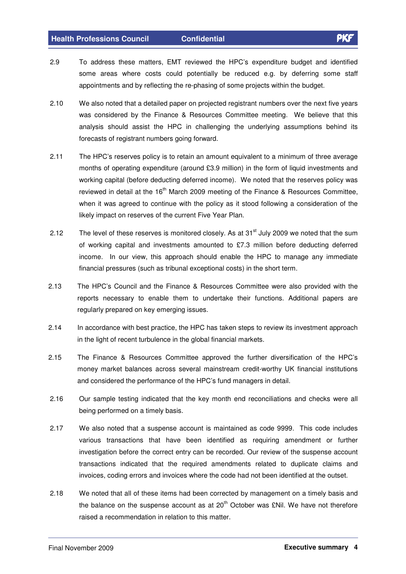- 2.9 To address these matters, EMT reviewed the HPC's expenditure budget and identified some areas where costs could potentially be reduced e.g. by deferring some staff appointments and by reflecting the re-phasing of some projects within the budget.
- 2.10 We also noted that a detailed paper on projected registrant numbers over the next five years was considered by the Finance & Resources Committee meeting. We believe that this analysis should assist the HPC in challenging the underlying assumptions behind its forecasts of registrant numbers going forward.
- 2.11 The HPC's reserves policy is to retain an amount equivalent to a minimum of three average months of operating expenditure (around £3.9 million) in the form of liquid investments and working capital (before deducting deferred income). We noted that the reserves policy was reviewed in detail at the 16<sup>th</sup> March 2009 meeting of the Finance & Resources Committee, when it was agreed to continue with the policy as it stood following a consideration of the likely impact on reserves of the current Five Year Plan.
- 2.12 The level of these reserves is monitored closely. As at 31<sup>st</sup> July 2009 we noted that the sum of working capital and investments amounted to £7.3 million before deducting deferred income. In our view, this approach should enable the HPC to manage any immediate financial pressures (such as tribunal exceptional costs) in the short term.
- 2.13 The HPC's Council and the Finance & Resources Committee were also provided with the reports necessary to enable them to undertake their functions. Additional papers are regularly prepared on key emerging issues.
- 2.14 In accordance with best practice, the HPC has taken steps to review its investment approach in the light of recent turbulence in the global financial markets.
- 2.15 The Finance & Resources Committee approved the further diversification of the HPC's money market balances across several mainstream credit-worthy UK financial institutions and considered the performance of the HPC's fund managers in detail.
- 2.16 Our sample testing indicated that the key month end reconciliations and checks were all being performed on a timely basis.
- 2.17 We also noted that a suspense account is maintained as code 9999. This code includes various transactions that have been identified as requiring amendment or further investigation before the correct entry can be recorded. Our review of the suspense account transactions indicated that the required amendments related to duplicate claims and invoices, coding errors and invoices where the code had not been identified at the outset.
- 2.18 We noted that all of these items had been corrected by management on a timely basis and the balance on the suspense account as at 20<sup>th</sup> October was £Nil. We have not therefore raised a recommendation in relation to this matter.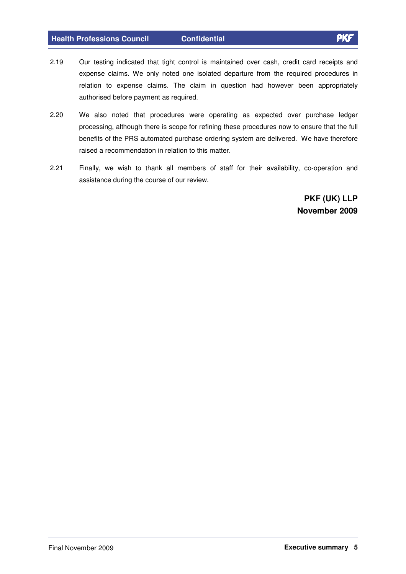- 2.19 Our testing indicated that tight control is maintained over cash, credit card receipts and expense claims. We only noted one isolated departure from the required procedures in relation to expense claims. The claim in question had however been appropriately authorised before payment as required.
- 2.20 We also noted that procedures were operating as expected over purchase ledger processing, although there is scope for refining these procedures now to ensure that the full benefits of the PRS automated purchase ordering system are delivered. We have therefore raised a recommendation in relation to this matter.
- 2.21 Finally, we wish to thank all members of staff for their availability, co-operation and assistance during the course of our review.

**PKF (UK) LLP November 2009**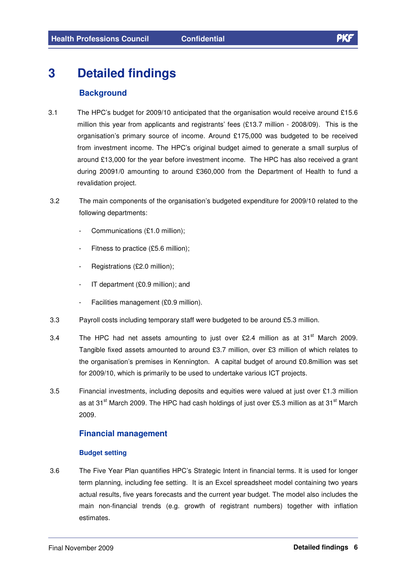# **3 Detailed findings**

### **Background**

- 3.1 The HPC's budget for 2009/10 anticipated that the organisation would receive around £15.6 million this year from applicants and registrants' fees (£13.7 million - 2008/09). This is the organisation's primary source of income. Around £175,000 was budgeted to be received from investment income. The HPC's original budget aimed to generate a small surplus of around £13,000 for the year before investment income. The HPC has also received a grant during 20091/0 amounting to around £360,000 from the Department of Health to fund a revalidation project.
- 3.2 The main components of the organisation's budgeted expenditure for 2009/10 related to the following departments:
	- Communications (£1.0 million);
	- Fitness to practice (£5.6 million);
	- Registrations (£2.0 million);
	- IT department (£0.9 million); and
	- Facilities management (£0.9 million).
- 3.3 Payroll costs including temporary staff were budgeted to be around £5.3 million.
- 3.4 The HPC had net assets amounting to just over £2.4 million as at 31 $^{\text{st}}$  March 2009. Tangible fixed assets amounted to around £3.7 million, over £3 million of which relates to the organisation's premises in Kennington. A capital budget of around £0.8million was set for 2009/10, which is primarily to be used to undertake various ICT projects.
- 3.5 Financial investments, including deposits and equities were valued at just over £1.3 million as at 31<sup>st</sup> March 2009. The HPC had cash holdings of just over £5.3 million as at 31<sup>st</sup> March 2009.

### **Financial management**

#### **Budget setting**

3.6 The Five Year Plan quantifies HPC's Strategic Intent in financial terms. It is used for longer term planning, including fee setting. It is an Excel spreadsheet model containing two years actual results, five years forecasts and the current year budget. The model also includes the main non-financial trends (e.g. growth of registrant numbers) together with inflation estimates.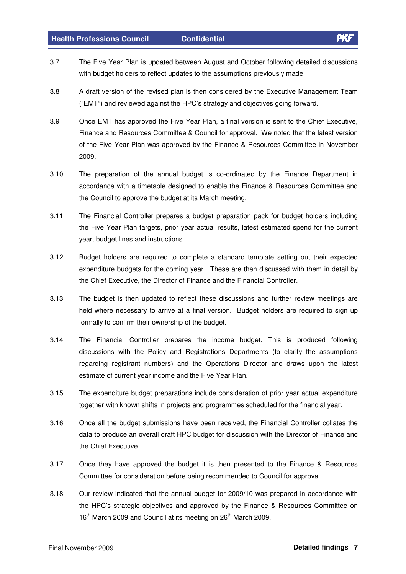- 3.7 The Five Year Plan is updated between August and October following detailed discussions with budget holders to reflect updates to the assumptions previously made.
- 3.8 A draft version of the revised plan is then considered by the Executive Management Team ("EMT") and reviewed against the HPC's strategy and objectives going forward.
- 3.9 Once EMT has approved the Five Year Plan, a final version is sent to the Chief Executive, Finance and Resources Committee & Council for approval. We noted that the latest version of the Five Year Plan was approved by the Finance & Resources Committee in November 2009.
- 3.10 The preparation of the annual budget is co-ordinated by the Finance Department in accordance with a timetable designed to enable the Finance & Resources Committee and the Council to approve the budget at its March meeting.
- 3.11 The Financial Controller prepares a budget preparation pack for budget holders including the Five Year Plan targets, prior year actual results, latest estimated spend for the current year, budget lines and instructions.
- 3.12 Budget holders are required to complete a standard template setting out their expected expenditure budgets for the coming year. These are then discussed with them in detail by the Chief Executive, the Director of Finance and the Financial Controller.
- 3.13 The budget is then updated to reflect these discussions and further review meetings are held where necessary to arrive at a final version. Budget holders are required to sign up formally to confirm their ownership of the budget.
- 3.14 The Financial Controller prepares the income budget. This is produced following discussions with the Policy and Registrations Departments (to clarify the assumptions regarding registrant numbers) and the Operations Director and draws upon the latest estimate of current year income and the Five Year Plan.
- 3.15 The expenditure budget preparations include consideration of prior year actual expenditure together with known shifts in projects and programmes scheduled for the financial year.
- 3.16 Once all the budget submissions have been received, the Financial Controller collates the data to produce an overall draft HPC budget for discussion with the Director of Finance and the Chief Executive.
- 3.17 Once they have approved the budget it is then presented to the Finance & Resources Committee for consideration before being recommended to Council for approval.
- 3.18 Our review indicated that the annual budget for 2009/10 was prepared in accordance with the HPC's strategic objectives and approved by the Finance & Resources Committee on 16<sup>th</sup> March 2009 and Council at its meeting on 26<sup>th</sup> March 2009.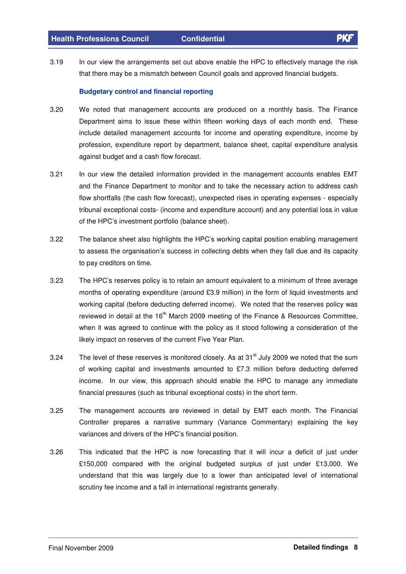3.19 In our view the arrangements set out above enable the HPC to effectively manage the risk that there may be a mismatch between Council goals and approved financial budgets.

#### **Budgetary control and financial reporting**

- 3.20 We noted that management accounts are produced on a monthly basis. The Finance Department aims to issue these within fifteen working days of each month end. These include detailed management accounts for income and operating expenditure, income by profession, expenditure report by department, balance sheet, capital expenditure analysis against budget and a cash flow forecast.
- 3.21 In our view the detailed information provided in the management accounts enables EMT and the Finance Department to monitor and to take the necessary action to address cash flow shortfalls (the cash flow forecast), unexpected rises in operating expenses - especially tribunal exceptional costs- (income and expenditure account) and any potential loss in value of the HPC's investment portfolio (balance sheet).
- 3.22 The balance sheet also highlights the HPC's working capital position enabling management to assess the organisation's success in collecting debts when they fall due and its capacity to pay creditors on time.
- 3.23 The HPC's reserves policy is to retain an amount equivalent to a minimum of three average months of operating expenditure (around £3.9 million) in the form of liquid investments and working capital (before deducting deferred income). We noted that the reserves policy was reviewed in detail at the 16<sup>th</sup> March 2009 meeting of the Finance & Resources Committee, when it was agreed to continue with the policy as it stood following a consideration of the likely impact on reserves of the current Five Year Plan.
- 3.24 The level of these reserves is monitored closely. As at 31 $^{\text{st}}$  July 2009 we noted that the sum of working capital and investments amounted to £7.3 million before deducting deferred income. In our view, this approach should enable the HPC to manage any immediate financial pressures (such as tribunal exceptional costs) in the short term.
- 3.25 The management accounts are reviewed in detail by EMT each month. The Financial Controller prepares a narrative summary (Variance Commentary) explaining the key variances and drivers of the HPC's financial position.
- 3.26 This indicated that the HPC is now forecasting that it will incur a deficit of just under £150,000 compared with the original budgeted surplus of just under £13,000. We understand that this was largely due to a lower than anticipated level of international scrutiny fee income and a fall in international registrants generally.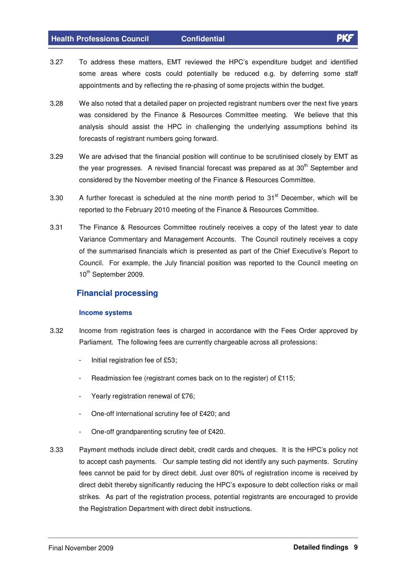- 3.27 To address these matters, EMT reviewed the HPC's expenditure budget and identified some areas where costs could potentially be reduced e.g. by deferring some staff appointments and by reflecting the re-phasing of some projects within the budget.
- 3.28 We also noted that a detailed paper on projected registrant numbers over the next five years was considered by the Finance & Resources Committee meeting. We believe that this analysis should assist the HPC in challenging the underlying assumptions behind its forecasts of registrant numbers going forward.
- 3.29 We are advised that the financial position will continue to be scrutinised closely by EMT as the year progresses. A revised financial forecast was prepared as at 30<sup>th</sup> September and considered by the November meeting of the Finance & Resources Committee.
- 3.30  $\phantom{1}$  A further forecast is scheduled at the nine month period to 31<sup>st</sup> December, which will be reported to the February 2010 meeting of the Finance & Resources Committee.
- 3.31 The Finance & Resources Committee routinely receives a copy of the latest year to date Variance Commentary and Management Accounts. The Council routinely receives a copy of the summarised financials which is presented as part of the Chief Executive's Report to Council. For example, the July financial position was reported to the Council meeting on 10<sup>th</sup> September 2009.

### **Financial processing**

#### **Income systems**

- 3.32 Income from registration fees is charged in accordance with the Fees Order approved by Parliament. The following fees are currently chargeable across all professions:
	- Initial registration fee of £53;
	- Readmission fee (registrant comes back on to the register) of £115;
	- Yearly registration renewal of £76;
	- One-off international scrutiny fee of £420; and
	- One-off grandparenting scrutiny fee of £420.
- 3.33 Payment methods include direct debit, credit cards and cheques. It is the HPC's policy not to accept cash payments. Our sample testing did not identify any such payments. Scrutiny fees cannot be paid for by direct debit. Just over 80% of registration income is received by direct debit thereby significantly reducing the HPC's exposure to debt collection risks or mail strikes. As part of the registration process, potential registrants are encouraged to provide the Registration Department with direct debit instructions.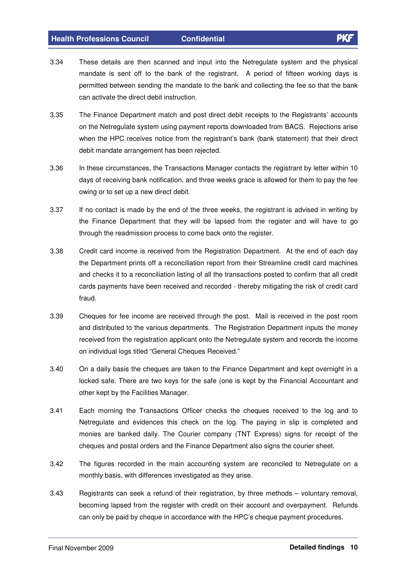- 3.34 These details are then scanned and input into the Netregulate system and the physical mandate is sent off to the bank of the registrant. A period of fifteen working days is permitted between sending the mandate to the bank and collecting the fee so that the bank can activate the direct debit instruction.
- 3.35 The Finance Department match and post direct debit receipts to the Registrants' accounts on the Netregulate system using payment reports downloaded from BACS. Rejections arise when the HPC receives notice from the registrant's bank (bank statement) that their direct debit mandate arrangement has been rejected.
- 3.36 In these circumstances, the Transactions Manager contacts the registrant by letter within 10 days of receiving bank notification, and three weeks grace is allowed for them to pay the fee owing or to set up a new direct debit.
- 3.37 If no contact is made by the end of the three weeks, the registrant is advised in writing by the Finance Department that they will be lapsed from the register and will have to go through the readmission process to come back onto the register.
- 3.38 Credit card income is received from the Registration Department. At the end of each day the Department prints off a reconciliation report from their Streamline credit card machines and checks it to a reconciliation listing of all the transactions posted to confirm that all credit cards payments have been received and recorded - thereby mitigating the risk of credit card fraud.
- 3.39 Cheques for fee income are received through the post. Mail is received in the post room and distributed to the various departments. The Registration Department inputs the money received from the registration applicant onto the Netregulate system and records the income on individual logs titled "General Cheques Received."
- 3.40 On a daily basis the cheques are taken to the Finance Department and kept overnight in a locked safe. There are two keys for the safe (one is kept by the Financial Accountant and other kept by the Facilities Manager.
- 3.41 Each morning the Transactions Officer checks the cheques received to the log and to Netregulate and evidences this check on the log. The paying in slip is completed and monies are banked daily. The Courier company (TNT Express) signs for receipt of the cheques and postal orders and the Finance Department also signs the courier sheet.
- 3.42 The figures recorded in the main accounting system are reconciled to Netregulate on a monthly basis, with differences investigated as they arise.
- 3.43 Registrants can seek a refund of their registration, by three methods voluntary removal, becoming lapsed from the register with credit on their account and overpayment. Refunds can only be paid by cheque in accordance with the HPC's cheque payment procedures.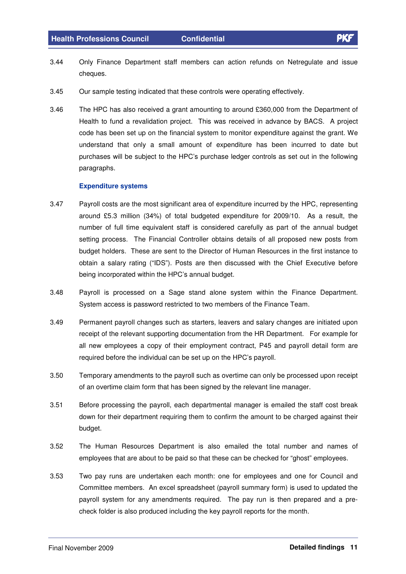- 3.44 Only Finance Department staff members can action refunds on Netregulate and issue cheques.
- 3.45 Our sample testing indicated that these controls were operating effectively.
- 3.46 The HPC has also received a grant amounting to around £360,000 from the Department of Health to fund a revalidation project. This was received in advance by BACS. A project code has been set up on the financial system to monitor expenditure against the grant. We understand that only a small amount of expenditure has been incurred to date but purchases will be subject to the HPC's purchase ledger controls as set out in the following paragraphs.

#### **Expenditure systems**

- 3.47 Payroll costs are the most significant area of expenditure incurred by the HPC, representing around £5.3 million (34%) of total budgeted expenditure for 2009/10. As a result, the number of full time equivalent staff is considered carefully as part of the annual budget setting process. The Financial Controller obtains details of all proposed new posts from budget holders. These are sent to the Director of Human Resources in the first instance to obtain a salary rating ("IDS"). Posts are then discussed with the Chief Executive before being incorporated within the HPC's annual budget.
- 3.48 Payroll is processed on a Sage stand alone system within the Finance Department. System access is password restricted to two members of the Finance Team.
- 3.49 Permanent payroll changes such as starters, leavers and salary changes are initiated upon receipt of the relevant supporting documentation from the HR Department. For example for all new employees a copy of their employment contract, P45 and payroll detail form are required before the individual can be set up on the HPC's payroll.
- 3.50 Temporary amendments to the payroll such as overtime can only be processed upon receipt of an overtime claim form that has been signed by the relevant line manager.
- 3.51 Before processing the payroll, each departmental manager is emailed the staff cost break down for their department requiring them to confirm the amount to be charged against their budget.
- 3.52 The Human Resources Department is also emailed the total number and names of employees that are about to be paid so that these can be checked for "ghost" employees.
- 3.53 Two pay runs are undertaken each month: one for employees and one for Council and Committee members. An excel spreadsheet (payroll summary form) is used to updated the payroll system for any amendments required. The pay run is then prepared and a precheck folder is also produced including the key payroll reports for the month.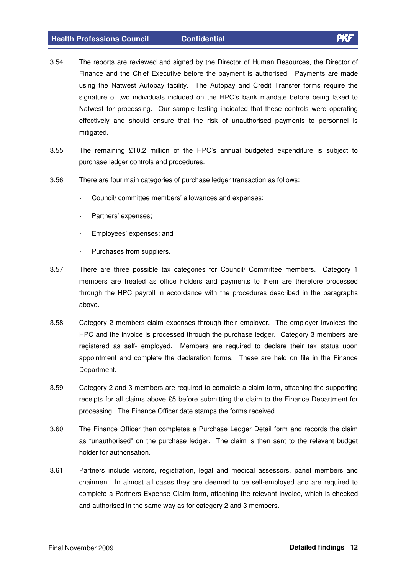- 
- 3.54 The reports are reviewed and signed by the Director of Human Resources, the Director of Finance and the Chief Executive before the payment is authorised. Payments are made using the Natwest Autopay facility. The Autopay and Credit Transfer forms require the signature of two individuals included on the HPC's bank mandate before being faxed to Natwest for processing. Our sample testing indicated that these controls were operating effectively and should ensure that the risk of unauthorised payments to personnel is mitigated.
- 3.55 The remaining £10.2 million of the HPC's annual budgeted expenditure is subject to purchase ledger controls and procedures.
- 3.56 There are four main categories of purchase ledger transaction as follows:
	- Council/ committee members' allowances and expenses;
	- Partners' expenses;
	- Employees' expenses; and
	- Purchases from suppliers.
- 3.57 There are three possible tax categories for Council/ Committee members. Category 1 members are treated as office holders and payments to them are therefore processed through the HPC payroll in accordance with the procedures described in the paragraphs above.
- 3.58 Category 2 members claim expenses through their employer. The employer invoices the HPC and the invoice is processed through the purchase ledger. Category 3 members are registered as self- employed. Members are required to declare their tax status upon appointment and complete the declaration forms. These are held on file in the Finance Department.
- 3.59 Category 2 and 3 members are required to complete a claim form, attaching the supporting receipts for all claims above £5 before submitting the claim to the Finance Department for processing. The Finance Officer date stamps the forms received.
- 3.60 The Finance Officer then completes a Purchase Ledger Detail form and records the claim as "unauthorised" on the purchase ledger. The claim is then sent to the relevant budget holder for authorisation.
- 3.61 Partners include visitors, registration, legal and medical assessors, panel members and chairmen. In almost all cases they are deemed to be self-employed and are required to complete a Partners Expense Claim form, attaching the relevant invoice, which is checked and authorised in the same way as for category 2 and 3 members.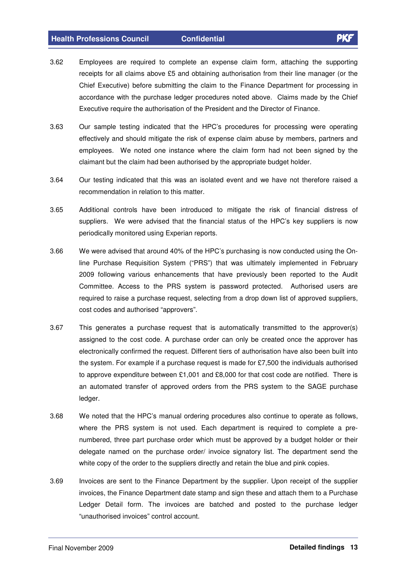- 3.62 Employees are required to complete an expense claim form, attaching the supporting receipts for all claims above £5 and obtaining authorisation from their line manager (or the Chief Executive) before submitting the claim to the Finance Department for processing in accordance with the purchase ledger procedures noted above. Claims made by the Chief Executive require the authorisation of the President and the Director of Finance.
- 3.63 Our sample testing indicated that the HPC's procedures for processing were operating effectively and should mitigate the risk of expense claim abuse by members, partners and employees. We noted one instance where the claim form had not been signed by the claimant but the claim had been authorised by the appropriate budget holder.
- 3.64 Our testing indicated that this was an isolated event and we have not therefore raised a recommendation in relation to this matter.
- 3.65 Additional controls have been introduced to mitigate the risk of financial distress of suppliers. We were advised that the financial status of the HPC's key suppliers is now periodically monitored using Experian reports.
- 3.66 We were advised that around 40% of the HPC's purchasing is now conducted using the Online Purchase Requisition System ("PRS") that was ultimately implemented in February 2009 following various enhancements that have previously been reported to the Audit Committee. Access to the PRS system is password protected. Authorised users are required to raise a purchase request, selecting from a drop down list of approved suppliers, cost codes and authorised "approvers".
- 3.67 This generates a purchase request that is automatically transmitted to the approver(s) assigned to the cost code. A purchase order can only be created once the approver has electronically confirmed the request. Different tiers of authorisation have also been built into the system. For example if a purchase request is made for £7,500 the individuals authorised to approve expenditure between £1,001 and £8,000 for that cost code are notified. There is an automated transfer of approved orders from the PRS system to the SAGE purchase ledger.
- 3.68 We noted that the HPC's manual ordering procedures also continue to operate as follows, where the PRS system is not used. Each department is required to complete a prenumbered, three part purchase order which must be approved by a budget holder or their delegate named on the purchase order/ invoice signatory list. The department send the white copy of the order to the suppliers directly and retain the blue and pink copies.
- 3.69 Invoices are sent to the Finance Department by the supplier. Upon receipt of the supplier invoices, the Finance Department date stamp and sign these and attach them to a Purchase Ledger Detail form. The invoices are batched and posted to the purchase ledger "unauthorised invoices" control account.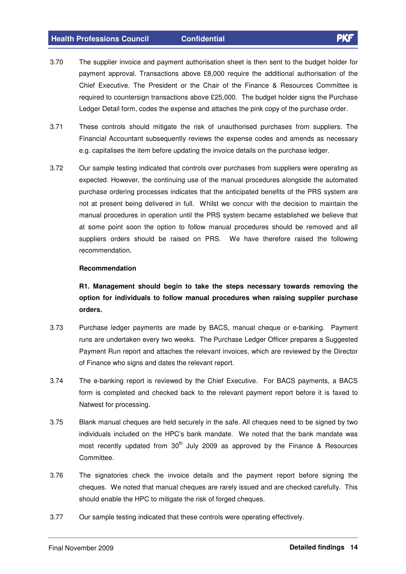- 3.70 The supplier invoice and payment authorisation sheet is then sent to the budget holder for payment approval. Transactions above £8,000 require the additional authorisation of the Chief Executive. The President or the Chair of the Finance & Resources Committee is required to countersign transactions above £25,000. The budget holder signs the Purchase Ledger Detail form, codes the expense and attaches the pink copy of the purchase order.
- 3.71 These controls should mitigate the risk of unauthorised purchases from suppliers. The Financial Accountant subsequently reviews the expense codes and amends as necessary e.g. capitalises the item before updating the invoice details on the purchase ledger.
- 3.72 Our sample testing indicated that controls over purchases from suppliers were operating as expected. However, the continuing use of the manual procedures alongside the automated purchase ordering processes indicates that the anticipated benefits of the PRS system are not at present being delivered in full. Whilst we concur with the decision to maintain the manual procedures in operation until the PRS system became established we believe that at some point soon the option to follow manual procedures should be removed and all suppliers orders should be raised on PRS. We have therefore raised the following recommendation.

#### **Recommendation**

**R1. Management should begin to take the steps necessary towards removing the option for individuals to follow manual procedures when raising supplier purchase orders.**

- 3.73 Purchase ledger payments are made by BACS, manual cheque or e-banking. Payment runs are undertaken every two weeks. The Purchase Ledger Officer prepares a Suggested Payment Run report and attaches the relevant invoices, which are reviewed by the Director of Finance who signs and dates the relevant report.
- 3.74 The e-banking report is reviewed by the Chief Executive. For BACS payments, a BACS form is completed and checked back to the relevant payment report before it is faxed to Natwest for processing.
- 3.75 Blank manual cheques are held securely in the safe. All cheques need to be signed by two individuals included on the HPC's bank mandate. We noted that the bank mandate was most recently updated from 30<sup>th</sup> July 2009 as approved by the Finance & Resources Committee.
- 3.76 The signatories check the invoice details and the payment report before signing the cheques. We noted that manual cheques are rarely issued and are checked carefully. This should enable the HPC to mitigate the risk of forged cheques.
- 3.77 Our sample testing indicated that these controls were operating effectively.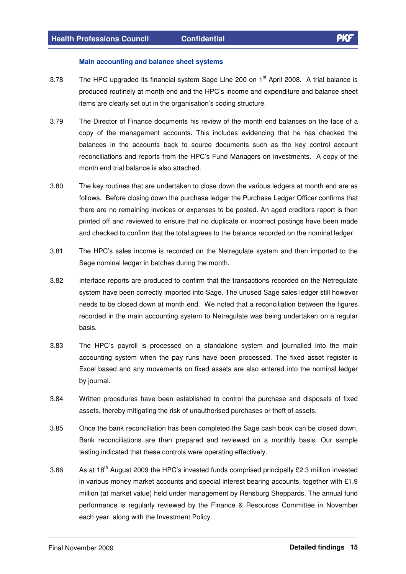#### **Main accounting and balance sheet systems**

- 3.78 The HPC upgraded its financial system Sage Line 200 on 1<sup>st</sup> April 2008. A trial balance is produced routinely at month end and the HPC's income and expenditure and balance sheet items are clearly set out in the organisation's coding structure.
- 3.79 The Director of Finance documents his review of the month end balances on the face of a copy of the management accounts. This includes evidencing that he has checked the balances in the accounts back to source documents such as the key control account reconciliations and reports from the HPC's Fund Managers on investments. A copy of the month end trial balance is also attached.
- 3.80 The key routines that are undertaken to close down the various ledgers at month end are as follows. Before closing down the purchase ledger the Purchase Ledger Officer confirms that there are no remaining invoices or expenses to be posted. An aged creditors report is then printed off and reviewed to ensure that no duplicate or incorrect postings have been made and checked to confirm that the total agrees to the balance recorded on the nominal ledger.
- 3.81 The HPC's sales income is recorded on the Netregulate system and then imported to the Sage nominal ledger in batches during the month.
- 3.82 Interface reports are produced to confirm that the transactions recorded on the Netregulate system have been correctly imported into Sage. The unused Sage sales ledger still however needs to be closed down at month end. We noted that a reconciliation between the figures recorded in the main accounting system to Netregulate was being undertaken on a regular basis.
- 3.83 The HPC's payroll is processed on a standalone system and journalled into the main accounting system when the pay runs have been processed. The fixed asset register is Excel based and any movements on fixed assets are also entered into the nominal ledger by journal.
- 3.84 Written procedures have been established to control the purchase and disposals of fixed assets, thereby mitigating the risk of unauthorised purchases or theft of assets.
- 3.85 Once the bank reconciliation has been completed the Sage cash book can be closed down. Bank reconciliations are then prepared and reviewed on a monthly basis. Our sample testing indicated that these controls were operating effectively.
- 3.86 As at 18<sup>th</sup> August 2009 the HPC's invested funds comprised principally £2.3 million invested in various money market accounts and special interest bearing accounts, together with £1.9 million (at market value) held under management by Rensburg Sheppards. The annual fund performance is regularly reviewed by the Finance & Resources Committee in November each year, along with the Investment Policy.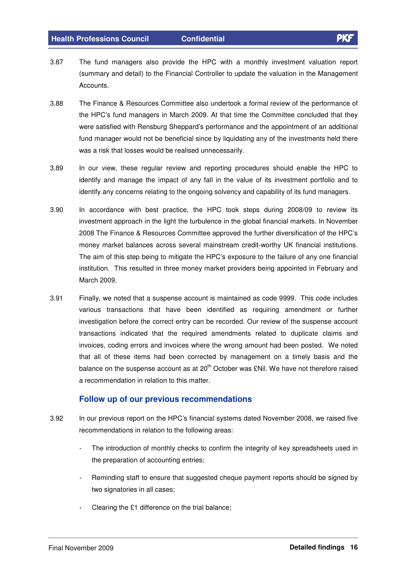- 3.87 The fund managers also provide the HPC with a monthly investment valuation report (summary and detail) to the Financial Controller to update the valuation in the Management Accounts.
- 3.88 The Finance & Resources Committee also undertook a formal review of the performance of the HPC's fund managers in March 2009. At that time the Committee concluded that they were satisfied with Rensburg Sheppard's performance and the appointment of an additional fund manager would not be beneficial since by liquidating any of the investments held there was a risk that losses would be realised unnecessarily.
- 3.89 In our view, these regular review and reporting procedures should enable the HPC to identify and manage the impact of any fall in the value of its investment portfolio and to identify any concerns relating to the ongoing solvency and capability of its fund managers.
- 3.90 In accordance with best practice, the HPC took steps during 2008/09 to review its investment approach in the light the turbulence in the global financial markets. In November 2008 The Finance & Resources Committee approved the further diversification of the HPC's money market balances across several mainstream credit-worthy UK financial institutions. The aim of this step being to mitigate the HPC's exposure to the failure of any one financial institution. This resulted in three money market providers being appointed in February and March 2009.
- 3.91 Finally, we noted that a suspense account is maintained as code 9999. This code includes various transactions that have been identified as requiring amendment or further investigation before the correct entry can be recorded. Our review of the suspense account transactions indicated that the required amendments related to duplicate claims and invoices, coding errors and invoices where the wrong amount had been posted. We noted that all of these items had been corrected by management on a timely basis and the balance on the suspense account as at 20<sup>th</sup> October was £Nil. We have not therefore raised a recommendation in relation to this matter.

### **Follow up of our previous recommendations**

- 3.92 In our previous report on the HPC's financial systems dated November 2008, we raised five recommendations in relation to the following areas:
	- The introduction of monthly checks to confirm the integrity of key spreadsheets used in the preparation of accounting entries;
	- Reminding staff to ensure that suggested cheque payment reports should be signed by two signatories in all cases;
	- Clearing the £1 difference on the trial balance;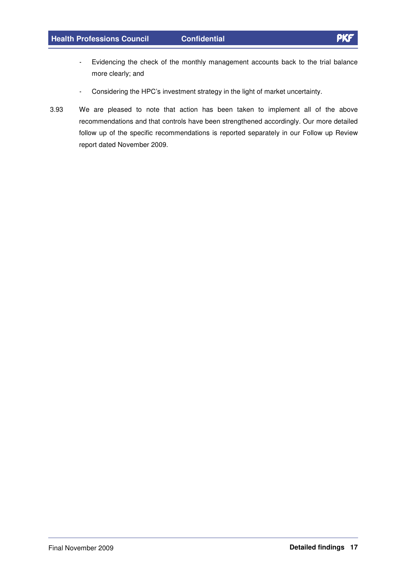- 
- Evidencing the check of the monthly management accounts back to the trial balance more clearly; and
- Considering the HPC's investment strategy in the light of market uncertainty.
- 3.93 We are pleased to note that action has been taken to implement all of the above recommendations and that controls have been strengthened accordingly. Our more detailed follow up of the specific recommendations is reported separately in our Follow up Review report dated November 2009.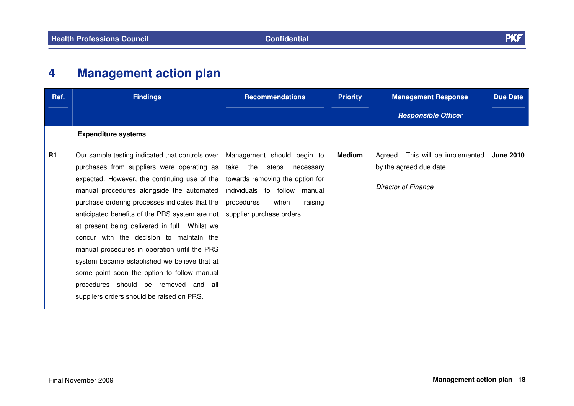

#### **4Management action plan**

| Ref.      | <b>Findings</b>                                                                                                                                                                                                                                                                                                                                                                                                                                                                                                                                                                                                                 | <b>Recommendations</b>                                                                                                                                                                        | <b>Priority</b> | <b>Management Response</b>                                                         | <b>Due Date</b>  |
|-----------|---------------------------------------------------------------------------------------------------------------------------------------------------------------------------------------------------------------------------------------------------------------------------------------------------------------------------------------------------------------------------------------------------------------------------------------------------------------------------------------------------------------------------------------------------------------------------------------------------------------------------------|-----------------------------------------------------------------------------------------------------------------------------------------------------------------------------------------------|-----------------|------------------------------------------------------------------------------------|------------------|
|           |                                                                                                                                                                                                                                                                                                                                                                                                                                                                                                                                                                                                                                 |                                                                                                                                                                                               |                 | <b>Responsible Officer</b>                                                         |                  |
|           | <b>Expenditure systems</b>                                                                                                                                                                                                                                                                                                                                                                                                                                                                                                                                                                                                      |                                                                                                                                                                                               |                 |                                                                                    |                  |
| <b>R1</b> | Our sample testing indicated that controls over<br>purchases from suppliers were operating as<br>expected. However, the continuing use of the<br>manual procedures alongside the automated<br>purchase ordering processes indicates that the<br>anticipated benefits of the PRS system are not<br>at present being delivered in full. Whilst we<br>concur with the decision to maintain the<br>manual procedures in operation until the PRS<br>system became established we believe that at<br>some point soon the option to follow manual<br>procedures should be removed and all<br>suppliers orders should be raised on PRS. | Management should begin to<br>take the<br>steps<br>necessary<br>towards removing the option for<br>individuals to follow manual<br>raising<br>procedures<br>when<br>supplier purchase orders. | <b>Medium</b>   | Agreed. This will be implemented<br>by the agreed due date.<br>Director of Finance | <b>June 2010</b> |